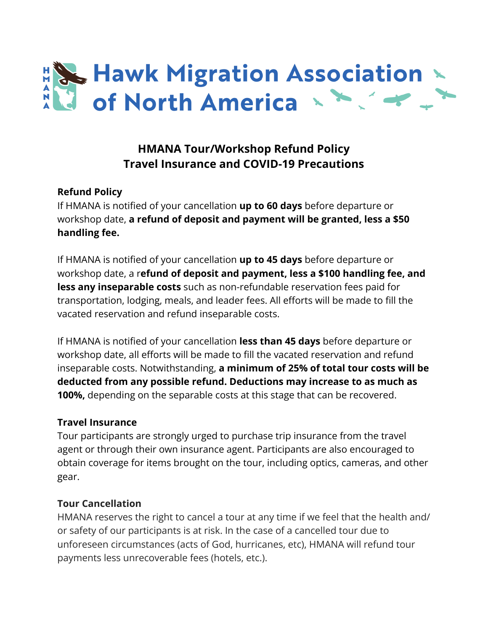

# **HMANA Tour/Workshop Refund Policy Travel Insurance and COVID-19 Precautions**

### **Refund Policy**

If HMANA is notified of your cancellation **up to 60 days** before departure or workshop date, **a refund of deposit and payment will be granted, less a \$50 handling fee.**

If HMANA is notified of your cancellation **up to 45 days** before departure or workshop date, a r**efund of deposit and payment, less a \$100 handling fee, and less any inseparable costs** such as non-refundable reservation fees paid for transportation, lodging, meals, and leader fees. All efforts will be made to fill the vacated reservation and refund inseparable costs.

If HMANA is notified of your cancellation **less than 45 days** before departure or workshop date, all efforts will be made to fill the vacated reservation and refund inseparable costs. Notwithstanding, **a minimum of 25% of total tour costs will be deducted from any possible refund. Deductions may increase to as much as 100%,** depending on the separable costs at this stage that can be recovered.

#### **Travel Insurance**

Tour participants are strongly urged to purchase trip insurance from the travel agent or through their own insurance agent. Participants are also encouraged to obtain coverage for items brought on the tour, including optics, cameras, and other gear.

#### **Tour Cancellation**

HMANA reserves the right to cancel a tour at any time if we feel that the health and/ or safety of our participants is at risk. In the case of a cancelled tour due to unforeseen circumstances (acts of God, hurricanes, etc), HMANA will refund tour payments less unrecoverable fees (hotels, etc.).